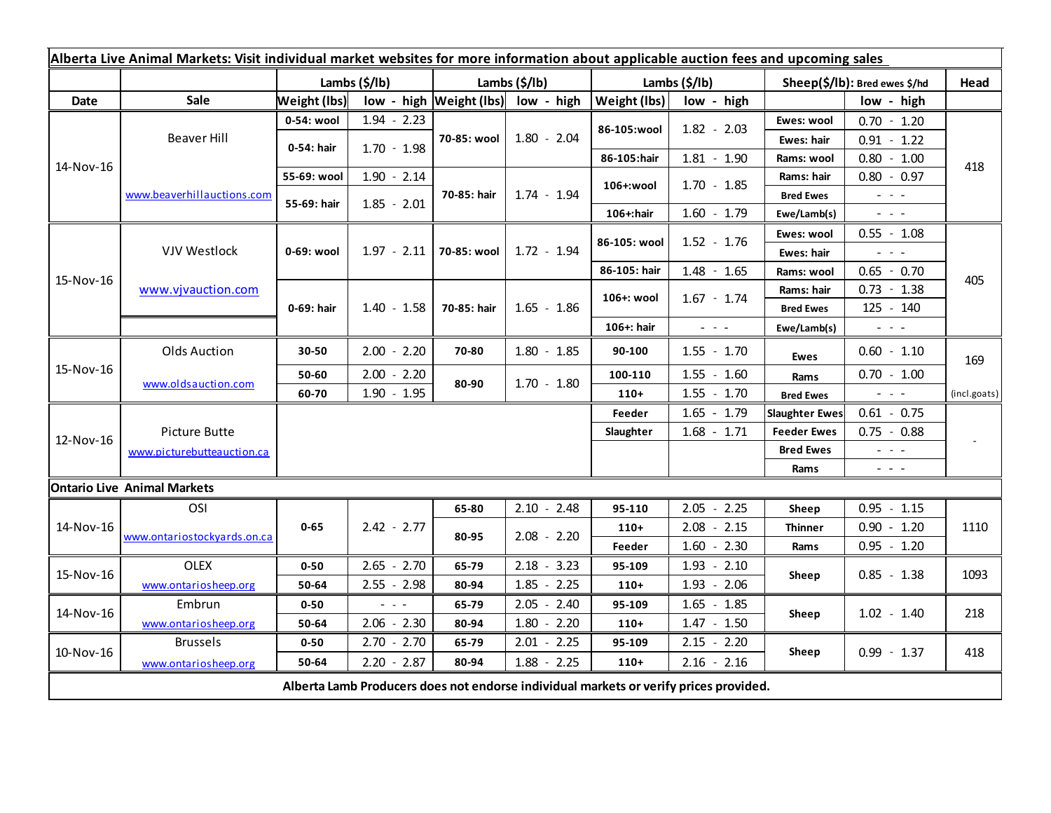| Alberta Live Animal Markets: Visit individual market websites for more information about applicable auction fees and upcoming sales |                                    |                     |                                |                           |                                    |                            |                                             |                               |                                                                                                                                                                                                                                                                                                                                                                                                                                                |              |
|-------------------------------------------------------------------------------------------------------------------------------------|------------------------------------|---------------------|--------------------------------|---------------------------|------------------------------------|----------------------------|---------------------------------------------|-------------------------------|------------------------------------------------------------------------------------------------------------------------------------------------------------------------------------------------------------------------------------------------------------------------------------------------------------------------------------------------------------------------------------------------------------------------------------------------|--------------|
|                                                                                                                                     |                                    | Lambs (\$/lb)       |                                | Lambs $(\frac{2}{3})$ lb) |                                    | Lambs $(\frac{2}{3})$      |                                             | Sheep(\$/lb): Bred ewes \$/hd |                                                                                                                                                                                                                                                                                                                                                                                                                                                | Head         |
| Date                                                                                                                                | Sale                               | <b>Weight (lbs)</b> |                                |                           | low - high Weight (lbs) low - high | low - high<br>Weight (lbs) |                                             | low - high                    |                                                                                                                                                                                                                                                                                                                                                                                                                                                |              |
| 14-Nov-16                                                                                                                           | Beaver Hill                        | 0-54: wool          | $1.94 - 2.23$<br>$1.70 - 1.98$ | 70-85: wool               | $1.80 - 2.04$                      | 86-105:wool                | $1.82 - 2.03$                               | Ewes: wool                    | $0.70 - 1.20$                                                                                                                                                                                                                                                                                                                                                                                                                                  | 418          |
|                                                                                                                                     |                                    | 0-54: hair          |                                |                           |                                    |                            |                                             | <b>Ewes: hair</b>             | $0.91 - 1.22$                                                                                                                                                                                                                                                                                                                                                                                                                                  |              |
|                                                                                                                                     |                                    |                     |                                |                           |                                    | 86-105:hair                | $1.81 - 1.90$                               | Rams: wool                    | $0.80 - 1.00$                                                                                                                                                                                                                                                                                                                                                                                                                                  |              |
|                                                                                                                                     | www.beaverhillauctions.com         | 55-69: wool         | $1.90 - 2.14$                  | 70-85: hair               | $1.74 - 1.94$                      | 106+:wool                  | $1.70 - 1.85$                               | Rams: hair                    | $0.80 - 0.97$                                                                                                                                                                                                                                                                                                                                                                                                                                  |              |
|                                                                                                                                     |                                    | 55-69: hair         | $1.85 - 2.01$                  |                           |                                    |                            |                                             | <b>Bred Ewes</b>              | $\sim$ 100 $\sim$                                                                                                                                                                                                                                                                                                                                                                                                                              |              |
|                                                                                                                                     |                                    |                     |                                |                           |                                    | 106+:hair                  | $1.60 - 1.79$                               | Ewe/Lamb(s)                   | $\frac{1}{2} \left( \frac{1}{2} \right) \left( \frac{1}{2} \right) \left( \frac{1}{2} \right) \left( \frac{1}{2} \right)$                                                                                                                                                                                                                                                                                                                      |              |
| 15-Nov-16                                                                                                                           | VJV Westlock                       | 0-69: wool          | $1.97 - 2.11$                  | 70-85: wool               | $1.72 - 1.94$                      | 86-105: wool               | $1.52 - 1.76$                               | Ewes: wool                    | $0.55 - 1.08$                                                                                                                                                                                                                                                                                                                                                                                                                                  | 405          |
|                                                                                                                                     |                                    |                     |                                |                           |                                    |                            |                                             | Ewes: hair                    | $\omega_{\rm{eff}}$ and $\omega_{\rm{eff}}$                                                                                                                                                                                                                                                                                                                                                                                                    |              |
|                                                                                                                                     |                                    |                     |                                |                           |                                    | 86-105: hair               | $1.48 - 1.65$                               | Rams: wool                    | $0.65 - 0.70$                                                                                                                                                                                                                                                                                                                                                                                                                                  |              |
|                                                                                                                                     | www.vjvauction.com                 | 0-69: hair          | $1.40 - 1.58$                  | 70-85: hair               | $1.65 - 1.86$                      | 106+: wool                 | $1.67 - 1.74$                               | Rams: hair                    | $0.73 - 1.38$                                                                                                                                                                                                                                                                                                                                                                                                                                  |              |
|                                                                                                                                     |                                    |                     |                                |                           |                                    |                            |                                             | <b>Bred Ewes</b>              | 125 - 140                                                                                                                                                                                                                                                                                                                                                                                                                                      |              |
|                                                                                                                                     |                                    |                     |                                |                           |                                    | 106+: hair                 | $\omega_{\rm{max}}$ and $\omega_{\rm{max}}$ | Ewe/Lamb(s)                   | $\frac{1}{2} \left( \frac{1}{2} \right) \left( \frac{1}{2} \right) \left( \frac{1}{2} \right) \left( \frac{1}{2} \right)$                                                                                                                                                                                                                                                                                                                      |              |
| 15-Nov-16                                                                                                                           | <b>Olds Auction</b>                | 30-50               | $2.00 - 2.20$                  | 70-80                     | $1.80 - 1.85$                      | 90-100                     | $1.55 - 1.70$                               | <b>Ewes</b>                   | $0.60 - 1.10$                                                                                                                                                                                                                                                                                                                                                                                                                                  | 169          |
|                                                                                                                                     | www.oldsauction.com                | 50-60               | $2.00 - 2.20$                  | 80-90                     | $1.70 - 1.80$                      | 100-110                    | $1.55 - 1.60$                               | Rams                          | $0.70 - 1.00$                                                                                                                                                                                                                                                                                                                                                                                                                                  |              |
|                                                                                                                                     |                                    | 60-70               | $1.90 - 1.95$                  |                           |                                    | $110+$                     | $1.55 - 1.70$                               | <b>Bred Ewes</b>              | $\frac{1}{2} \left( \frac{1}{2} \right) \left( \frac{1}{2} \right) \left( \frac{1}{2} \right) \left( \frac{1}{2} \right)$                                                                                                                                                                                                                                                                                                                      | (incl.goats) |
| 12-Nov-16                                                                                                                           |                                    |                     |                                |                           |                                    | Feeder                     | $1.65 - 1.79$                               | <b>Slaughter Ewes</b>         | $0.61 - 0.75$                                                                                                                                                                                                                                                                                                                                                                                                                                  |              |
|                                                                                                                                     | Picture Butte                      |                     |                                |                           |                                    | Slaughter                  | $1.68 - 1.71$                               | <b>Feeder Ewes</b>            | $0.75 - 0.88$                                                                                                                                                                                                                                                                                                                                                                                                                                  |              |
|                                                                                                                                     | www.picturebutteauction.ca         |                     |                                |                           |                                    |                            |                                             | <b>Bred Ewes</b>              | $\omega_{\rm{eff}}$ and $\omega_{\rm{eff}}$                                                                                                                                                                                                                                                                                                                                                                                                    |              |
|                                                                                                                                     |                                    |                     |                                |                           |                                    |                            |                                             | Rams                          | $\frac{1}{2} \left( \frac{1}{2} \right) \frac{1}{2} \left( \frac{1}{2} \right) \frac{1}{2} \left( \frac{1}{2} \right) \frac{1}{2} \left( \frac{1}{2} \right) \frac{1}{2} \left( \frac{1}{2} \right) \frac{1}{2} \left( \frac{1}{2} \right) \frac{1}{2} \left( \frac{1}{2} \right) \frac{1}{2} \left( \frac{1}{2} \right) \frac{1}{2} \left( \frac{1}{2} \right) \frac{1}{2} \left( \frac{1}{2} \right) \frac{1}{2} \left( \frac{1}{2} \right)$ |              |
|                                                                                                                                     | <b>Ontario Live Animal Markets</b> |                     |                                |                           |                                    |                            |                                             |                               |                                                                                                                                                                                                                                                                                                                                                                                                                                                |              |
| 14-Nov-16                                                                                                                           | OSI                                |                     |                                | 65-80                     | $2.10 - 2.48$                      | 95-110                     | $2.05 - 2.25$                               | Sheep                         | $0.95 - 1.15$                                                                                                                                                                                                                                                                                                                                                                                                                                  |              |
|                                                                                                                                     | www.ontariostockyards.on.ca        | $0 - 65$            | $2.42 - 2.77$                  | 80-95                     | $2.08 - 2.20$                      | $110+$                     | $2.08 - 2.15$                               | <b>Thinner</b>                | $0.90 - 1.20$                                                                                                                                                                                                                                                                                                                                                                                                                                  | 1110         |
|                                                                                                                                     |                                    |                     |                                |                           |                                    | Feeder                     | $1.60 - 2.30$                               | Rams                          | $0.95 - 1.20$                                                                                                                                                                                                                                                                                                                                                                                                                                  |              |
| 15-Nov-16                                                                                                                           | <b>OLEX</b>                        | $0 - 50$            | $2.65 - 2.70$                  | 65-79                     | $2.18 - 3.23$                      | 95-109                     | $1.93 - 2.10$                               | Sheep                         | $0.85 - 1.38$                                                                                                                                                                                                                                                                                                                                                                                                                                  | 1093         |
|                                                                                                                                     | www.ontariosheep.org               | 50-64               | $2.55 - 2.98$                  | 80-94                     | $1.85 - 2.25$                      | $110+$                     | $1.93 - 2.06$                               |                               |                                                                                                                                                                                                                                                                                                                                                                                                                                                |              |
| 14-Nov-16                                                                                                                           | Embrun                             | $0 - 50$            | $\sim$ 10 $\sim$               | 65-79                     | $2.05 - 2.40$                      | 95-109                     | $1.65 - 1.85$                               | Sheep                         | $1.02 - 1.40$                                                                                                                                                                                                                                                                                                                                                                                                                                  | 218          |
|                                                                                                                                     | www.ontariosheep.org               | 50-64               | $2.06 - 2.30$                  | 80-94                     | $1.80 - 2.20$                      | $110+$                     | $1.47 - 1.50$                               |                               |                                                                                                                                                                                                                                                                                                                                                                                                                                                |              |
| 10-Nov-16                                                                                                                           | <b>Brussels</b>                    | $0 - 50$            | $2.70 - 2.70$                  | 65-79                     | $2.01 - 2.25$                      | 95-109                     | $2.15 - 2.20$                               | Sheep                         | $0.99 - 1.37$                                                                                                                                                                                                                                                                                                                                                                                                                                  | 418          |
|                                                                                                                                     | www.ontariosheep.org               | 50-64               | $2.20 - 2.87$                  | 80-94                     | $1.88 - 2.25$                      | $110+$                     | $2.16 - 2.16$                               |                               |                                                                                                                                                                                                                                                                                                                                                                                                                                                |              |
| Alberta Lamb Producers does not endorse individual markets or verify prices provided.                                               |                                    |                     |                                |                           |                                    |                            |                                             |                               |                                                                                                                                                                                                                                                                                                                                                                                                                                                |              |